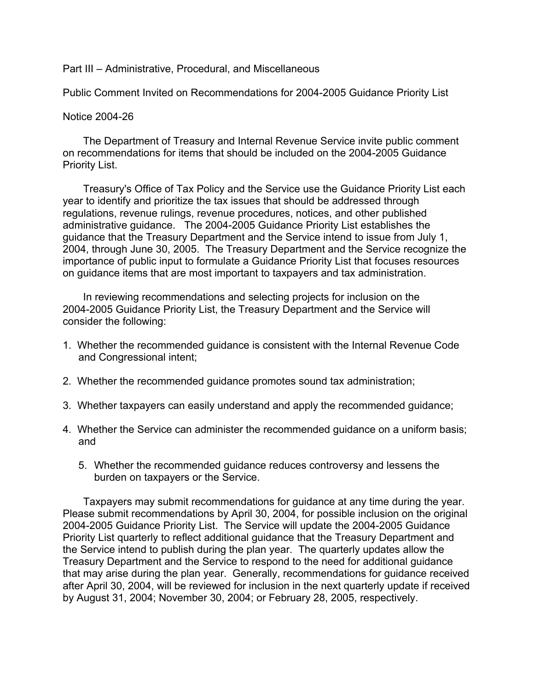## Part III – Administrative, Procedural, and Miscellaneous

Public Comment Invited on Recommendations for 2004-2005 Guidance Priority List

## Notice 2004-26

 The Department of Treasury and Internal Revenue Service invite public comment on recommendations for items that should be included on the 2004-2005 Guidance Priority List.

 Treasury's Office of Tax Policy and the Service use the Guidance Priority List each year to identify and prioritize the tax issues that should be addressed through regulations, revenue rulings, revenue procedures, notices, and other published administrative guidance. The 2004-2005 Guidance Priority List establishes the guidance that the Treasury Department and the Service intend to issue from July 1, 2004, through June 30, 2005. The Treasury Department and the Service recognize the importance of public input to formulate a Guidance Priority List that focuses resources on guidance items that are most important to taxpayers and tax administration.

 In reviewing recommendations and selecting projects for inclusion on the 2004-2005 Guidance Priority List, the Treasury Department and the Service will consider the following:

- 1. Whether the recommended guidance is consistent with the Internal Revenue Code and Congressional intent;
- 2. Whether the recommended guidance promotes sound tax administration;
- 3. Whether taxpayers can easily understand and apply the recommended guidance;
- 4. Whether the Service can administer the recommended guidance on a uniform basis; and
	- 5. Whether the recommended guidance reduces controversy and lessens the burden on taxpayers or the Service.

 Taxpayers may submit recommendations for guidance at any time during the year. Please submit recommendations by April 30, 2004, for possible inclusion on the original 2004-2005 Guidance Priority List. The Service will update the 2004-2005 Guidance Priority List quarterly to reflect additional guidance that the Treasury Department and the Service intend to publish during the plan year. The quarterly updates allow the Treasury Department and the Service to respond to the need for additional guidance that may arise during the plan year. Generally, recommendations for guidance received after April 30, 2004, will be reviewed for inclusion in the next quarterly update if received by August 31, 2004; November 30, 2004; or February 28, 2005, respectively.